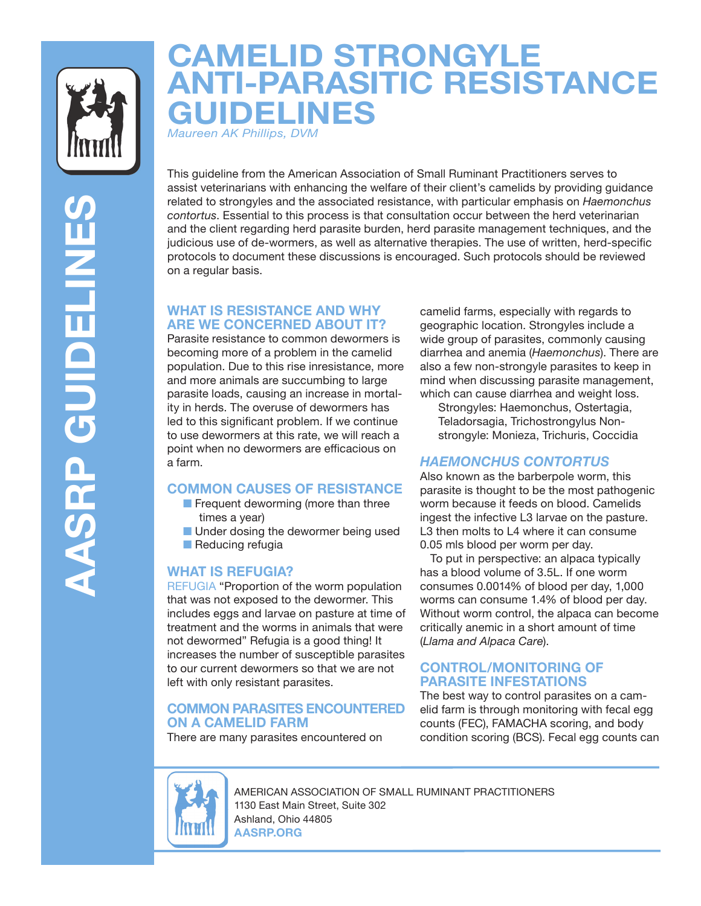

# **CAMELID STRONGYLE ANTI-PARASITIC RESISTANCE GUIDELINES**

*Maureen AK Phillips, DVM* 

**AASRP GUIDELINES AASRP GUIDELINE** 

This guideline from the American Association of Small Ruminant Practitioners serves to assist veterinarians with enhancing the welfare of their client's camelids by providing guidance related to strongyles and the associated resistance, with particular emphasis on *Haemonchus contortus*. Essential to this process is that consultation occur between the herd veterinarian and the client regarding herd parasite burden, herd parasite management techniques, and the judicious use of de-wormers, as well as alternative therapies. The use of written, herd-specific protocols to document these discussions is encouraged. Such protocols should be reviewed on a regular basis.

# **WHAT IS RESISTANCE AND WHY ARE WE CONCERNED ABOUT IT?**

Parasite resistance to common dewormers is becoming more of a problem in the camelid population. Due to this rise inresistance, more and more animals are succumbing to large parasite loads, causing an increase in mortality in herds. The overuse of dewormers has led to this significant problem. If we continue to use dewormers at this rate, we will reach a point when no dewormers are efficacious on a farm.

# **COMMON CAUSES OF RESISTANCE**

- Frequent deworming (more than three times a year)
- Under dosing the dewormer being used ■ Reducing refugia

# **WHAT IS REFUGIA?**

REFUGIA "Proportion of the worm population that was not exposed to the dewormer. This includes eggs and larvae on pasture at time of treatment and the worms in animals that were not dewormed" Refugia is a good thing! It increases the number of susceptible parasites to our current dewormers so that we are not left with only resistant parasites.

# **COMMON PARASITES ENCOUNTERED ON A CAMELID FARM**

There are many parasites encountered on

camelid farms, especially with regards to geographic location. Strongyles include a wide group of parasites, commonly causing diarrhea and anemia (*Haemonchus*). There are also a few non-strongyle parasites to keep in mind when discussing parasite management, which can cause diarrhea and weight loss.

Strongyles: Haemonchus, Ostertagia, Teladorsagia, Trichostrongylus Nonstrongyle: Monieza, Trichuris, Coccidia

# *HAEMONCHUS CONTORTUS*

Also known as the barberpole worm, this parasite is thought to be the most pathogenic worm because it feeds on blood. Camelids ingest the infective L3 larvae on the pasture. L3 then molts to L4 where it can consume 0.05 mls blood per worm per day.

 To put in perspective: an alpaca typically has a blood volume of 3.5L. If one worm consumes 0.0014% of blood per day, 1,000 worms can consume 1.4% of blood per day. Without worm control, the alpaca can become critically anemic in a short amount of time (*Llama and Alpaca Care*).

## **CONTROL/MONITORING OF PARASITE INFESTATIONS**

The best way to control parasites on a camelid farm is through monitoring with fecal egg counts (FEC), FAMACHA scoring, and body condition scoring (BCS). Fecal egg counts can



AMERICAN ASSOCIATION OF SMALL RUMINANT PRACTITIONERS 1130 East Main Street, Suite 302 Ashland, Ohio 44805 **AASRP.ORG**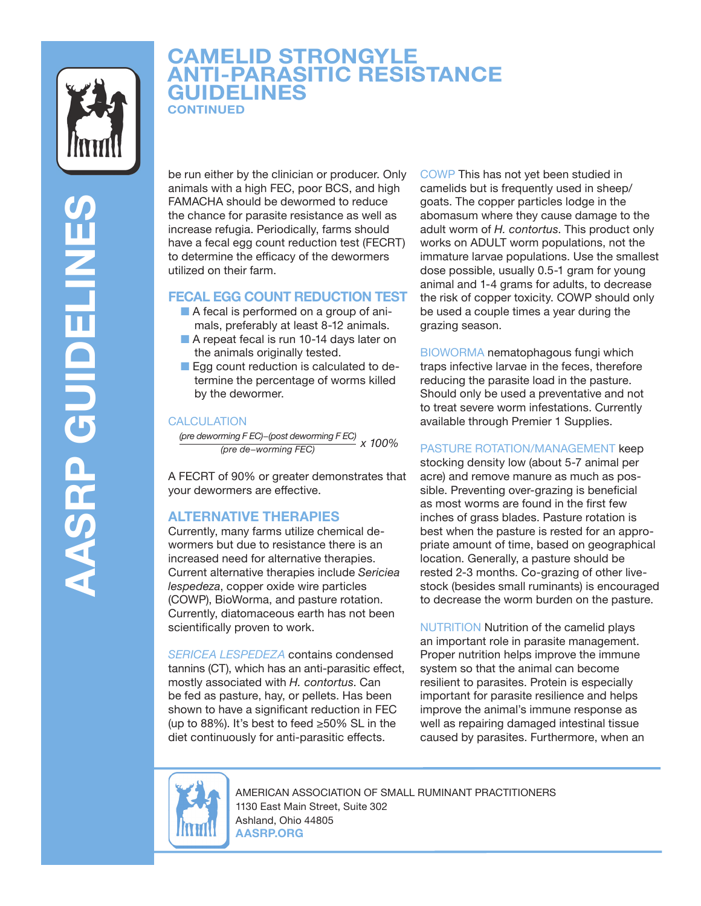

# **CAMELID STRONGYLE ANTI-PARASITIC RESISTANCE GUIDELINES CONTINUED**

be run either by the clinician or producer. Only animals with a high FEC, poor BCS, and high FAMACHA should be dewormed to reduce the chance for parasite resistance as well as increase refugia. Periodically, farms should have a fecal egg count reduction test (FECRT) to determine the efficacy of the dewormers utilized on their farm.

## **FECAL EGG COUNT REDUCTION TEST**

- A fecal is performed on a group of animals, preferably at least 8-12 animals.
- A repeat fecal is run 10-14 days later on the animals originally tested.
- Egg count reduction is calculated to determine the percentage of worms killed by the dewormer.

#### **CALCULATION**

 *(pre deworming F EC)−(post deworming F EC) x 100% (pre de−worming FEC)*

A FECRT of 90% or greater demonstrates that your dewormers are effective.

#### **ALTERNATIVE THERAPIES**

Currently, many farms utilize chemical dewormers but due to resistance there is an increased need for alternative therapies. Current alternative therapies include *Sericiea lespedeza*, copper oxide wire particles (COWP), BioWorma, and pasture rotation. Currently, diatomaceous earth has not been scientifically proven to work.

*SERICEA LESPEDEZA* contains condensed tannins (CT), which has an anti-parasitic effect, mostly associated with *H. contortus*. Can be fed as pasture, hay, or pellets. Has been shown to have a significant reduction in FEC (up to 88%). It's best to feed ≥50% SL in the diet continuously for anti-parasitic effects.

COWP This has not yet been studied in camelids but is frequently used in sheep/ goats. The copper particles lodge in the abomasum where they cause damage to the adult worm of *H. contortus*. This product only works on ADULT worm populations, not the immature larvae populations. Use the smallest dose possible, usually 0.5-1 gram for young animal and 1-4 grams for adults, to decrease the risk of copper toxicity. COWP should only be used a couple times a year during the grazing season.

BIOWORMA nematophagous fungi which traps infective larvae in the feces, therefore reducing the parasite load in the pasture. Should only be used a preventative and not to treat severe worm infestations. Currently available through Premier 1 Supplies.

### PASTURE ROTATION/MANAGEMENT keep

stocking density low (about 5-7 animal per acre) and remove manure as much as possible. Preventing over-grazing is beneficial as most worms are found in the first few inches of grass blades. Pasture rotation is best when the pasture is rested for an appropriate amount of time, based on geographical location. Generally, a pasture should be rested 2-3 months. Co-grazing of other livestock (besides small ruminants) is encouraged to decrease the worm burden on the pasture.

NUTRITION Nutrition of the camelid plays an important role in parasite management. Proper nutrition helps improve the immune system so that the animal can become resilient to parasites. Protein is especially important for parasite resilience and helps improve the animal's immune response as well as repairing damaged intestinal tissue caused by parasites. Furthermore, when an



AMERICAN ASSOCIATION OF SMALL RUMINANT PRACTITIONERS 1130 East Main Street, Suite 302 Ashland, Ohio 44805 **AASRP.ORG**